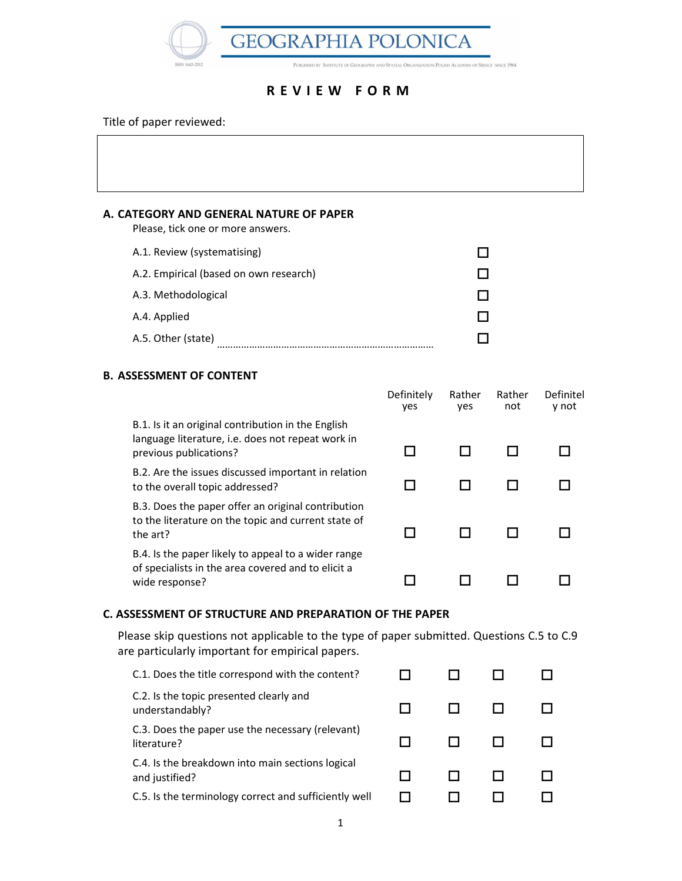**GEOGRAPHIA POLONICA** PUBLISHED BY INSTITUTE OF GEOGRAPHY AND SPATIAL ORGANIZATION POLISH ACADEMY OF SIENCE SINCE 1964

## R E V I E W F O R M

Title of paper reviewed:

## A. CATEGORY AND GENERAL NATURE OF PAPER

Please, tick one or more answers.

| A.1. Review (systematising)            |  |
|----------------------------------------|--|
| A.2. Empirical (based on own research) |  |
| A.3. Methodological                    |  |
| A.4. Applied                           |  |
| A.5. Other (state)                     |  |

## B. ASSESSMENT OF CONTENT

|                                                                                                                                   | Definitely<br>yes | Rather<br>yes | Rather<br>not | Definitel<br>y not |
|-----------------------------------------------------------------------------------------------------------------------------------|-------------------|---------------|---------------|--------------------|
| B.1. Is it an original contribution in the English<br>language literature, i.e. does not repeat work in<br>previous publications? |                   |               |               |                    |
| B.2. Are the issues discussed important in relation<br>to the overall topic addressed?                                            |                   |               |               |                    |
| B.3. Does the paper offer an original contribution<br>to the literature on the topic and current state of<br>the art?             |                   |               |               |                    |
| B.4. Is the paper likely to appeal to a wider range<br>of specialists in the area covered and to elicit a<br>wide response?       |                   |               |               |                    |

### C. ASSESSMENT OF STRUCTURE AND PREPARATION OF THE PAPER

Please skip questions not applicable to the type of paper submitted. Questions C.5 to C.9 are particularly important for empirical papers.

| C.1. Does the title correspond with the content?                   |  |  |
|--------------------------------------------------------------------|--|--|
| C.2. Is the topic presented clearly and<br>understandably?         |  |  |
| C.3. Does the paper use the necessary (relevant)<br>literature?    |  |  |
| C.4. Is the breakdown into main sections logical<br>and justified? |  |  |
| C.5. Is the terminology correct and sufficiently well              |  |  |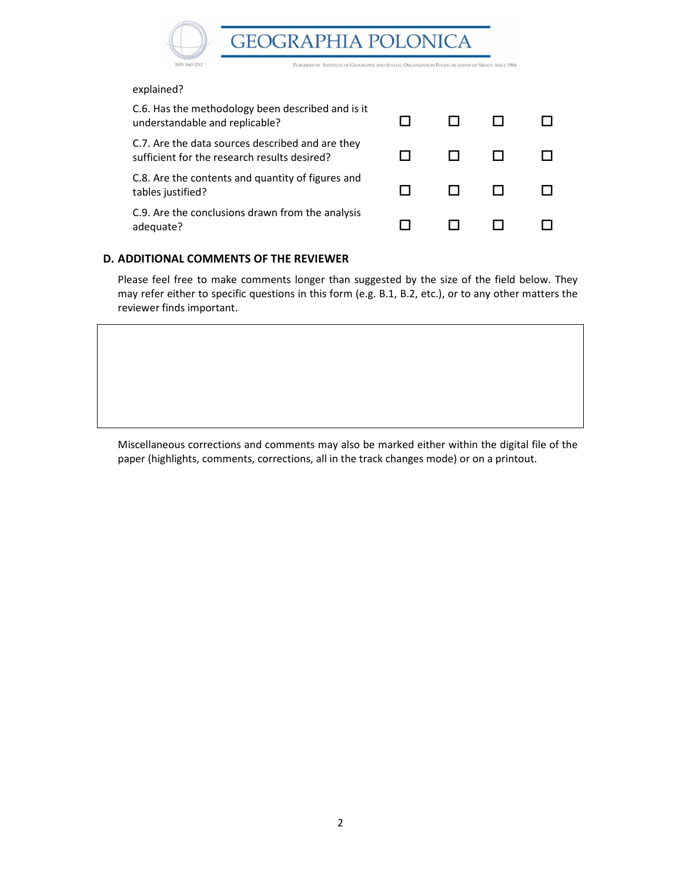**GEOGRAPHIA POLONICA** 



PUBLISHED BY INSTIT TE OF GEOGRAPHY AND SPATIAL ORGANIZATION POLISH ACADEMY OF SIENCE SINCE 1964

#### explained?

| C.6. Has the methodology been described and is it<br>understandable and replicable?              |  |  |
|--------------------------------------------------------------------------------------------------|--|--|
| C.7. Are the data sources described and are they<br>sufficient for the research results desired? |  |  |
| C.8. Are the contents and quantity of figures and<br>tables justified?                           |  |  |
| C.9. Are the conclusions drawn from the analysis<br>adequate?                                    |  |  |

#### D. ADDITIONAL COMMENTS OF THE REVIEWER

Please feel free to make comments longer than suggested by the size of the field below. They may refer either to specific questions in this form (e.g. B.1, B.2, etc.), or to any other matters the reviewer finds important.

Miscellaneous corrections and comments may also be marked either within the digital file of the paper (highlights, comments, corrections, all in the track changes mode) or on a printout.